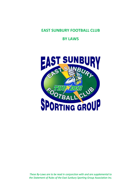# **EAST SUNBURY FOOTBALL CLUB**

# **BY LAWS**



*These By-Laws are to be read in conjunction with and are supplemental to the Statement of Rules of the East Sunbury Sporting Group Association Inc.*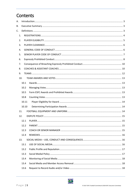# Contents

| Α. |     |       |  |
|----|-----|-------|--|
| В. |     |       |  |
| C. |     |       |  |
| 1. |     |       |  |
| 2. |     |       |  |
| 3. |     |       |  |
| 4. |     |       |  |
| 5. |     |       |  |
| 6. |     |       |  |
| 7. |     |       |  |
| 8. |     |       |  |
| 9. |     |       |  |
|    | 10. |       |  |
|    |     | 10.1  |  |
|    |     | 10.2  |  |
|    |     | 10.5  |  |
|    |     | 10.8  |  |
|    |     | 10.11 |  |
|    |     | 10.10 |  |
|    | 11. |       |  |
|    | 12. |       |  |
|    |     | 12.1  |  |
|    |     | 12.2  |  |
|    |     | 12.3  |  |
|    |     | 12.4  |  |
|    | 13. |       |  |
|    |     | 13.1  |  |
|    |     | 13.2  |  |
|    |     | 13.3  |  |
|    |     | 13.4  |  |
|    |     | 13.4  |  |
|    |     | 13.6  |  |

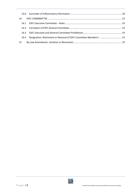| 14   |                                                                   |  |
|------|-------------------------------------------------------------------|--|
| 14.1 |                                                                   |  |
| 14.2 |                                                                   |  |
| 14.3 |                                                                   |  |
| 14.4 | Resignation, Retirement or Removal of ESFC Committee Member/s  19 |  |
| 15   |                                                                   |  |

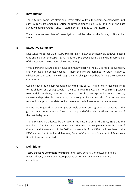#### <span id="page-3-0"></span>**A. Introduction**

These By-Laws come into effect and remain effective from the commencement date until such By-Laws are amended, varied or revoked under Rule 5.2(n) and (o) of the East Sunbury Sporting Group ("ESSG") Statement of Rules 2012 (the "Rules").

The commencement date of these By-Laws shall be taken as the 1st day of November 2020.

#### <span id="page-3-1"></span>**B. Executive Summary**

East Sunbury Football Club ("ESFC") was formally known as the Rolling Meadows Football Club and is part of the ESSG. ESFC is a level three Good Sports Club and is a shareholder of the Essendon District Football League (EDFL)

With a growing culture and a young community backing the ESFC it requires evolution, and with evolution comes change. These By-Laws are designed to retain traditions, whilst promoting consistency through the ESFC changing members forming the Executive Committee.

Coaches have the highest responsibility within the ESFC. Their primary responsibility is to the children and young people in their care, requiring Coaches to be strong positive role models, teachers, mentors and friends. Coaches are expected to teach fairness, sportsmanship, friendly competition, and strong ethics and morals. Coaches are also required to apply appropriate conflict resolution techniques as and when required.

Parents are required to set the right example at the sports ground, irrespective of the ground being home or away. They should be proud of their child's efforts irrespective of the match day results.

These By-Laws are adopted by the ESFC in the best interest of the ESFC, ESSG and the members. The By-Laws operate in conjunction with and supplemental to the Code of Conduct and Statement of Rules 2012 (as amended) of the ESSG. All members of the ESFC are required to follow all By-Laws, Codes of Conduct and Statement of Rules from time to time implemented.

#### <span id="page-3-2"></span>**C. Definitions**

"ESFC Executive Committee Members" and "ESFC General Committee Members" means all past, present and future persons performing any role within these committees.

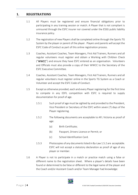## <span id="page-4-0"></span>**1. REGISTRATIONS**

- 1.1 All Players must be registered and ensure financial obligations prior to participating in any training session or match. A Player that is not compliant is uninsured through the ESFC insurer nor covered under the ESSG public liability insurance policy.
- 1.2 The registration of new Players shall be completed online through the Sports TG System by the player or parent of the player. Players and parents will accept the ESFC Code of Conduct as part of this online registration process.
- 1.3 Coaches, Assistant Coaches, Team Managers, First Aid Trainers, Runners and all regular volunteers must register and obtain a Working with Children Check ("WWCC") and ensure they have ESFC entered as an organisation. Volunteers and Officials must also provide a copy of their WWCC to the Secretary of the ESFC Executive Committee.
- 1.4 Coaches, Assistant Coaches, Team Managers, First Aid Trainers, Runners and all regular volunteers must register online in the Sports TG System as a Coach or Volunteer and accept the ESFC Code of Conduct.
- 1.5 Except as otherwise provided, each and every Player registering for the first time to compete in any EDFL competition with ESFC is required to supply documentation for proof of age.
	- 1.5.1 Such proof of age must be sighted by and provided to the President, Vice President or Secretary of the ESFC within seven (7) days of the Player registering.
	- 1.5.2 The following documents are acceptable to AFL Victoria as proof of age:
		- (a) Birth Certificate;
		- (b) Passport, Drivers Licence or Permit; or
		- (c) School Identification Card.
	- 1.5.3 Photocopies of any documents listed in By-Law1.5.2 are acceptable. ESFC will not accept a statutory declaration as proof of age of any player or member.
- 1.6 A Player is not to participate in a match or practice match using a false or different name to the registration sheet. Where a player's details have been found or determined to be false or different to the legal name of the player and the Coach and/or Assistant Coach and/or Team Manager had knowledge:

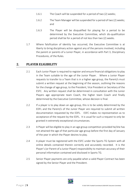- 1.6.1 The Coach will be suspended for a period of two (2) weeks;
- 1.6.2 The Team Manager will be suspended for a period of two (2) weeks; and
- 1.6.3 The Player will be disqualified for playing for a period to be determined by the Executive Committee, which dis-qualification period shall be for a period of not less than two (2) weeks.
- 1.7 Where falsification of identity has occurred, the Executive Committee is at liberty to bring disciplinary action against any of the persons involved, including the parent or parents of a Junior Player, in accordance with Part 3, Disciplinary Procedures, of the Rules.

# <span id="page-5-0"></span>**2. PLAYER ELIGIBILITY**

- 2.1 Each Junior Player is required to register and ensure financial obligations to play in the Team suitable to the age of the Junior Player. Where a Junior Player requests to transfer to a Team that is in a higher age group, the Parent/s must submit a written request at the beginning of the season, outlining the reasons for the change of age group, to the President, Vice President or Secretary of the ESFC. Any written request shall be determined in consultation with the Junior Players age appropriate team Coach, the higher team Coach and finally determined by the Executive Committee, whose decision is final.
- 2.2 If a player is to play down an age group, this is to be solely determined by the EDFL and the Parent/s of the Junior Player are required to submit all written documentation requested by the EDFL. ESFC makes no representation as to acceptance of the request by the EDFL. It is usual for such a request to only be granted in extremely exceptional circumstances.
- 2.3 A Player will be eligible to play in an age group competition provided he/she has not attained the age of that particular age group before the first day of January of the year in which the Player desires to play.
- 2.4 A player must be registered with the ESFC under the Sports TG System with all online details contained therein correctly and accurately recorded. It is the Player's (or Parent of a Junior Player) responsibility to maintain accuracy of their personal information contained and disclosed in Sports TG.
- 2.5 Senior Player payments are only payable when a valid Player Contract has been signed by the Senior Player and the President.

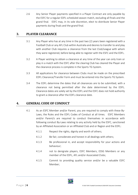2.6 Any Senior Player payments specified in a Player Contract are only payable by the ESFC for a regular EDFL scheduled season match, excluding all finals and the grand final. ESFC may, in its sole discretion, elect to distribute Senior Player payments during finals and the grand final.

# <span id="page-6-0"></span>**3. PLAYER CLEARANCE**

- 3.1 Any Player who has at any time in the past two (2) years been registered with a Football Club or any AFL Club within Australia and desires to transfer to and play with another Club requires a clearance from the last Club/League with whom they were registered, before being able to register with the ESFC and the EDFL.
- 3.2 A Player wishing to obtain a clearance at any time of the year can only train or play in a match with the ESFC after the clearing Club has cleared the Player and the clearance process is complete in the Sports TG System.
- 3.3 All applications for clearance between Clubs must be made on the prescribed EDFL Clearance/Transfer Form and must be entered into the Sports TG System.
- 3.4 The EDFL determine the dates that all clearances are to be submitted, with a clearance not being permitted after the date determined by the EDFL. Clearance dates are solely set by the EDFL and the ESFC does not hold authority to grant a clearance after the EDFL clearance date.

# <span id="page-6-1"></span>**4. GENERAL CODE OF CONDUCT**

- 4.1 As an ESFC Member and/or Parent, you are required to comply with these By-Laws, the Rules and the EDFL Codes of Conduct at all times. ESFC Members and/or Parent/s are required to conduct themselves in accordance with following conduct By-Laws relating to any activity held by the ESFC, sanctioned by an Affiliated Association or an Affiliated Club and or Region and the EDFL:
	- 4.1.1 Respect the rights, dignity and worth of others;
	- 4.1.2 Be fair, considerate and honest in all dealings with others;
	- 4.1.3 Be professional in, and accept responsibility for your actions and behaviour;
	- 4.1.4 not to denigrate players, ESFC Members, ESSG Members or any member of the EDFL, AFL and/or Associated Clubs;
	- 4.1.5 Commit to providing quality service and/or be a valuable ESFC Member;

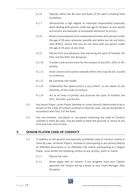- 4.1.6 Operate within the By-Laws and Rules of the sport including State Guidelines;
- 4.1.7 Demonstrate a high degree of individual responsibility especially when dealing with persons under the age of 18 years, as your words and actions are examples of acceptable behaviour to minors;
- 4.1.8 Avoid unaccompanied and unobserved activities with persons under the age of 18 years wherever possible and where you do not hold a valid WWCC, ensure that you are not alone with any person under the age of 18 years at any time;
- 4.1.9 Refrain from any behaviour that may bring the sport of football, the ESFC and the EDFL into disrepute;
- 4.1.10 Provide a safe environment for the conduct of any ESFC, EDFL or AFL activity;
- 4.1.11 Show concern and caution towards others who may be sick, injured or in distress;
- 4.1.12 Be a positive role model;
- 4.1.13 Understand the repercussions if you breach, or are aware of any breaches, of this Code of Conduct;
- 4.1.14 Act at all times to protect and promote the sport of football, the ESFC, the EDFL and the AFL.
- 4.2 Any Senior Player, Junior Player, Member or Junior Parent/s determined to be in breach of the Code of Conduct outlined in these By-Laws may be disciplined in accordance with Part 3 of the Rules.
- 4.3 Any non-member, non-player or non-parent breaching the Code of Conduct outlined in these By-Laws, may be asked to leave the grounds or venue at any time and from time to time.

# <span id="page-7-0"></span>**5. SENIOR PLAYER CODE OF CONDUCT**

- 5.1 In addition to the general and expressly prohibited Code of Conduct outline in these By Laws, all Senior Players, involved or participating in any activity held by an Affiliated Association or an Affiliated Club and/or participating as a Region Player, must exhibit the following conduct at any activity, event or match:
	- 5.1.1 Play by the rules;
	- 5.1.2 Never argue with an Umpire. If you disagree, have your Captain approach the Umpire during a break or your Team Manager after the game;

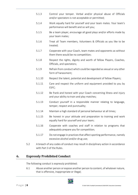- 5.1.3 Control your temper. Verbal and/or physical abuse of Officials and/or spectators is not acceptable or permitted;
- 5.1.4 Work equally hard for yourself and your team mates. Your team's performance will benefit and so will you;
- 5.1.5 Be a team player, encourage all good plays and/or efforts made by your team mates;
- 5.1.6 Treat all Team members, Volunteers & Officials as you like to be treated;
- 5.1.7 Cooperate with your Coach, team mates and opponents as without them there would be no competition;
- 5.1.8 Respect the rights, dignity and worth of fellow Players, Coaches, Officials, and spectators;
- 5.1.9 Refrain from conduct which could be regarded as sexual or any other form of harassment;
- 5.1.10 Respect the talent, potential and development of fellow Players;
- 5.1.11 Care and respect the uniform and equipment provided to you by ESFC;
- 5.1.12 Be frank and honest with your Coach concerning illness and injury and your ability to train and play matches;
- 5.1.13 Conduct yourself in a responsible manner relating to language, temper, respect and punctuality;
- 5.1.14 Maintain a high standard of personal behaviour at all times;
- 5.1.15 Be honest in your attitude and preparation to training and work equally hard for yourself and your team;
- 5.1.16 Cooperate with coaches and staff in relation to programs that adequately prepare you for competition;
- 5.1.17 Do not engage in practices that affect sporting performance, namely excessive alcohol and/or drug use;
- 5.2 A breach of any codes of conduct may result in disciplinary action in accordance with Part 3 of the Rules.

# <span id="page-8-0"></span>**6. Expressly Prohibited Conduct**

The following conduct is expressly prohibited:

6.1 Abuse another person or expose another person to content, of whatever nature, that is offensive, inappropriate or illegal;

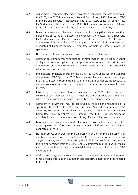- 6.2 Abuse, harass, threaten, blackmail or any other similar unacceptable behaviour, the ESFC, the ESFC Executive and General Committees, ESFC Sponsors, ESFC Members and Players, irrespective of age, ESSG, ESSG Executive Committee, ESSG Members, EDFL umpires, the EDFL, EDFL members or associated clubs or its members, committee, officials, volunteers, players or spectators;
- 6.3 Make defamatory or libellous comments and/or allegations about another person, the ESFC, the ESFC Executive and General Committees, ESFC Sponsors, ESFC Members and Players, irrespective of age, ESSG, ESSG Executive Committee, ESSG Members, EDFL umpires, the EDFL, EDFL members or associated clubs or its members, committee, officials, volunteers, players or spectators;
- 6.4 Use obscene, offensive, insulting, provocative or hateful language;
- 6.5 Communicate, by any means or method, any information, data, details, financial or legal information gained by the performance of any role, within any Committee, or otherwise known to you or come into your possession by whatever method or means;
- 6.6 Impersonate or falsely represent the ESFC, the ESFC Executive and General Committees, ESFC Sponsors, ESFC Members and Players, irrespective of age, ESSG, ESSG Executive Committee, ESSG Members, EDFL umpires, the EDFL, EDFL members or associated clubs or its members, committee, officials, volunteers or players;
- 6.7 Intrude upon the privacy of other members of the ESFC without the prior consent of such member who has attained the age of 18 years or if a member who is a minor without the express authority of that minor's parent/s;
- 6.8 Comment in a way that may be construed as harming the reputation of a spectator, the ESFC, the ESFC Executive and General Committees, ESFC Sponsors, ESFC Members and Players, irrespective of age, ESSG, ESSG Executive Committee, ESSG Members, EDFL umpires, the EDFL, EDFL members or associated clubs or its members, committee, officials, volunteers or players;
- 6.9 Make excessive posts on any particular issue or post multiple versions of the same opinion or information on social media platforms operated by or connected to the ESFC;
- 6.10 Not to promote your own commercial business or the commercial business of another person, company or entity on ESFC's social media forums, platforms and/or domains, except as directed by the ESFC Executive Committee, where the role performed within the ESFC General Committee relates to Social Media and the promotion of such commercial business is that of a current ESFC Sponsor; and
- 6.11 Without authority, post internet addresses, links to websites, email addresses or other personal information on social media platforms operated by or connected to the ESFC.

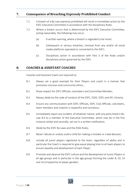# <span id="page-10-0"></span>**7. Consequence of Breaching Expressly Prohibited Conduct**

- 7.1 A breach of a By-Law expressly prohibited will result in immediate action by the ESFC Executive Committee in accordance with the disciplinary Rules.
- 7.2 Where a breach occurs that is determined by the ESFC Executive Committee, acting reasonably, the following may occur:
	- (a) A written warning, where a breach is regarded to be minor;
	- (b) Subsequent or serious breaches, removal from any and/or all social media platforms operated or connected to the ESFC;
	- (c) Disciplinary action in accordance with Part 3 of the Rules and/or disciplinary action governed by the EDFL.

#### <span id="page-10-1"></span>**8. COACHES & ASSISTANT COACHES**

Coaches and Assistant Coach are required to:

- 8.1 Always set a good example for their Players and coach in a manner that promotes inclusion and community ethics;
- 8.2 Show respect for ESFC Officials, volunteers and Committee Member;
- 8.3 Always abide by the code of conduct of the ESFC, ESSG, EDFL and AFL Victoria;
- 8.4 Ensure any communication with EDFL Officials, EDFL Club Officials, volunteers, team members and umpires is respectful and courteous;
- 8.5 Immediately report any incident, of whatever nature, with any party listed in By-Law 8.4 to a member of the Executive Committee, which may be in the first instance verbal and secondly, set out in a written notification;
- 8.6 Abide by the ESFC By-Laws and the ESSG Rules;
- 8.7 Never ridicule or unduly scold a child for making a mistake or a bad decision;
- 8.8. include all junior players registered to the team, regardless of ability and in particular the Coach is required to give equal playing time to all team players to ensure equality and development of each Player;
- 8.9 Promote and observe the ESFC culture and the development of Junior Players in all age groups and in particular in the age groups forming the under 8, 10, 14 and 16 (irrespective of player gender).

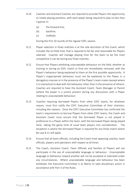- 8.10 Coaches and Assistant Coaches are required to provide Players the opportunity to rotate playing positions, with each player being required to play no less than 3 games in:
	- (a) the forward line;
	- (b) backline;
	- (c) midfield;

During the first 10 rounds of the regular EDFL season.

- 8.11 Player selection in finals matches is at the sole discretion of the Coach, which includes the on-field time, that is required to be fair and reasonable for Players selected. Coaches will manage playing time for the team to be the most competitive it can be during any finals matches.
- 8.12 Ensure that Players exhibiting unacceptable behaviour on the field, whether at training or during an EDFL match or final are immediately removed, with the Player's behaviour being explained to them at the first possible opportunity. A Player's inappropriate behaviour must not be explained to the Player in a derogatory manner or in the presence of the Player's team mates (except where it is impractical to deal with the behaviour other than in the presence of others). Coaches are required to have the Assistant Coach, Team Manager or Parent (where the player is a junior) present during any discussions with a Player relating to unacceptable behaviour;
- 8.13 Coaches requiring borrowed Players from other ESFC teams, for whatever reason, must first notify the ESFC Executive Committee of their intention, including the reasons. Once the ESFC Executive Committee has confirmed the team's requirements to borrow Players from other ESFC teams, the Coach and Assistant Coach must ensure that the borrowed Player is not played in preference to a Player within the team, with the borrowed Player being played fairly taking the game time of usual team players into consideration. The exception is where the borrowed Player is required for any finals match where By-Law 8.11 will apply.
- 8.14 Ensure that all team officials, including the Coach treat opposing coaches, team officials, players and spectators with respect at all times.
- 8.15 The Coach, Assistant Coach, Team Officials and families of Players will not participate in the use of unacceptable language or behaviour. Unacceptable language or behaviour toward another will not be accepted or tolerated under any circumstances. Where unacceptable language and behaviour has been exhibited, the Executive Committee is at liberty to take disciplinary action in accordance with Part 3 of the Rules.

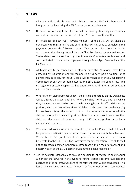#### <span id="page-12-0"></span>**9. TEAMS**

- 9.1 All teams will, to the best of their ability, represent ESFC with honour and integrity and will not bring the ESFC or the game into disrepute.
- 9.2 No team will run any form of individual fund raising, team nights or events without the prior written permission of the ESFC Executive Committee.
- 9.3 In November of each year, current members of the ESFC will be given an opportunity to register online and confirm their playing spot by completing the payment terms for the following season. If current members do not take this opportunity, the playing list will then be filled by players on any waiting list. These dates are determined by the Executive Committee each year and communicated to members and players through Team App, Facebook and the ESFC website.
- 9.4 All teams are to be capped at 24 players, once the 24 players have been exceeded by registration and full membership has been paid a waiting list of players wishing to play for the ESFC team will be managed by the ESFC Executive Committee or any person nominated by the ESFC Executive Committee. The management of team capping shall be undertaken, at all times, in consultation with the Team Coach.
- 9.5 Where a team place becomes vacant, the first child recorded on the waiting list will be offered the vacant position. Where any child is offered a position, which they decline, the next child recorded on the waiting list will be offered the vacant position, which process will continue until the last child recorded on the waiting list has been offered the vacant position. Under no circumstances will the children recorded on the waiting list be offered the vacant position over another child recorded ahead of them due to any ESFC Official's preference or team members' preferences.
- 9.6 Where a child from another club requests to join an ESFC team, that child shall be granted a position in their requested team in accordance with these By-Laws. Where the child's request is due to exception circumstances, such request is to be directed to the ESFC Executive Committee for determination. The child shall not be granted a position in their requested team without the prior consent and determination of the ESFC Executive Committee, acting reasonably.
- 9.7 It is in the best interests of ESFC to provide a position for all registered and financial Junior players, however in the event no further options become available the coaches and the parents/guardians of the relevant team will be consulted by no less than 2 Executive Committee members of further options to accommodate.

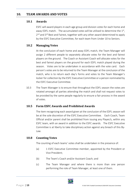### <span id="page-13-0"></span>**10. TEAM AWARDS AND VOTES**

#### <span id="page-13-1"></span>**10.1 Awards**

ESFC will award players in each age group and division votes for each home and away EDFL match. The accumulated votes will be utilised to determine the  $1<sup>st</sup>$ , 2<sup>nd</sup> and 3<sup>rd</sup> Best and Fairest, together with any other award determined to apply by the ESFC Executive Committee, for each team from Under 10 to Seniors.

## <span id="page-13-2"></span>**10.2 Managing Votes**

At the conclusion of each home and away EDFL match, the Team Manager will assign 2 different people to separately allocate votes for the best and fairest players on the ground. The Coach or Assistant Coach will allocate votes for the best and fairest players on the ground for each EDFL match played during the season. Votes are to be undertaken in accordance with the vote card. Each person's votes are to be returned to the Team Manager at the conclusion of the match, who is to return each day's forms and votes to the Team Manager's locker for collection by the ESFC Executive Committee or a person nominated by the ESFC Executive Committee.

10.3 The Team Manager is to ensure that throughout the EDFL season the votes are rotated amongst all parties attending the match and shall not request votes to be provided by the same people regularly to ensure a fair process in the award of votes.

### <span id="page-13-3"></span>**10.5 Form ESFC Awards and Prohibited Awards**

The item recognising each award given at the conclusion of the EDFL season will be at the sole discretion of the ESFC Executive Committee. Each Coach, Team Official and/or parent shall be prohibited from issuing any Player/s, within any ESFC team, with an award in addition to the ESFC awards. The ESFC Executive Committee is at liberty to take disciplinary action against any breach of this By-Law.

#### <span id="page-13-4"></span>**10.8 Counting Votes**

The counting of each teams' votes shall be undertaken in the presence of:

- (a) 1 ESFC Executive Committee member, appointed by the President or Vice President;
- (b) The Team's Coach and/or Assistant Coach; and
- (c) The Team Manager and where there is more than one person performing the role of Team Manager, at least one of them.

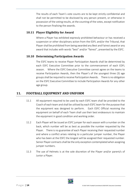The results of each Team's vote counts are to be kept strictly confidential and shall not be permitted to be disclosed by any person present, or otherwise in possession of the voting results, at the counting of the votes, except notification to the person finalising the awards.

### <span id="page-14-0"></span>**10.11 Player Eligibility for Award**

Where a Player has exhibited expressly prohibited behaviour or has received a suspension or other disciplinary action from the EDFL and/or the Tribunal, that Player shall be prohibited from being awarded any Best and Fairest award or any award that includes with words "best" and/or "fairest", presented by the ESFC.

# <span id="page-14-1"></span>**10.10 Determining Participation Awards**

The ESFC teams to receive Player Participation Awards shall be determined by each ESFC Executive Committee prior to the commencement of each EDFL season. Where the ESFC Executive Committee cannot agree on the teams to receive Participation Awards, then the Player's of the youngest three (3) age groups shall be required to receive Participation Awards. There is no obligation on the ESFC Executive Committee to include Participation Awards for any other age group.

# <span id="page-14-2"></span>**11. FOOTBALL EQUIPMENT AND UNIFORM**

- 11.1 All equipment required to be used by each ESFC team shall be provided to the Coach of each team and shall be utilised by each ESFC team for the purpose that the equipment was designed to perform. Each ESFC Official receiving the equipment on behalf of each Team shall use their best endeavours to maintain the equipment in good condition and working order.
- 11.2 Each Player will be issued an ESFC jumper for each season with a number on the back, which number will be as best as possible the number requested by the Player. There is no guarantee of each Player receiving their requested number and where a conflict arises relating to a particular jumper number, the Player who has been at the ESFC the longest will be assigned their requested number. Senior Player contracts shall be the only exception contemplated when assigning jumper numbers.
- 11.3 The use of Helmets is at the sole discretion of the Player and/or parent/s of Junior a Player.

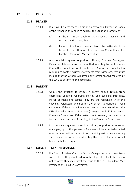#### <span id="page-15-0"></span>**12. DISPUTE POLICY**

#### <span id="page-15-1"></span>**12.1 PLAYER**

- 12.1.1 If a Player believes there is a situation between a Player, the Coach or the Manager, they need to address the situation promptly by:
	- (a) In the first instance talk to their Coach or Manager and resolve the situation; then
	- (b) If a resolution has not been achieved, the matter should be brought to the attention of the Executive Committee or the Football Operations Manager (if any).
- 12.1.2 Any complaint against opposition officials, Coaches, Managers, Players or Referees must be submitted in writing to the Executive Committee prior to action being taken. Any written complaint is required to contain written statements from witnesses, that must include that the witness will attend any formal hearing required by the EDFL to determine the compliant.

#### <span id="page-15-2"></span>**12.2 PARENT**

- 12.2.1 Unless the situation is serious, a parent should refrain from expressing opinions regarding playing and coaching strategies. Player positions and tactical play are the responsibility of the coaching volunteers and not for the parent to decide or make comment. If there is a legitimate incident, a parent may address the ESFC Football Operations Manager (if any) or the ESFC President or Executive Committee. If the matter is not resolved, the parent may forward their complaint, in writing, to the Executive Committee.
- 12.2.2 No complaints against opposition officials, opposition coaches or managers, opposition players or Referees will be accepted or acted upon without written submissions containing written collaborating statements from witnesses, all stating that they will attend formal hearings that are required.

#### <span id="page-15-3"></span>**12.3 COACH OR SENIOR MANAGER**

12.3.1 If a Coach, Assistant Coach or Senior Manager has a particular issue with a Player, they should address the Player directly. If the issue is not resolved they may direct the issue to the ESFC President, Vice President or Executive Committee.

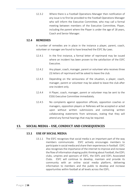12.3.2 Where there is a Football Operations Manager then notification of any issue is to first be provided to the Football Operations Manager who will inform the Executive Committee, who may call a formal meeting between members of the Executive Committee, Player, including the parent where the Player is under the age of 18 years, Coach and Senior Manager.

#### <span id="page-16-0"></span>**12.4 REMEDIES**

A number of remedies are in place in the instance a player, parent, coach, volunteer or manager are found to have breached the ESFC By-Laws.

- 12.4.1 In the first instance, a formal letter of reprimand may be issued where an incident has been proven to the satisfaction of the ESFC Executive.
- 12.4.2 Any player, coach, manager, parent or volunteer who receives three (3) letters of reprimand will be asked to leave the club.
- 12.4.3 Depending on the seriousness of the situation, a player, coach, manager, parent or volunteer may be asked to leave the club after one incident only.
- 12.4.4 A Player, coach, manager, parent or volunteer may be sent to the ESSG Executive Committee immediately.
- 12.4.5 No complaints against opposition officials, opposition coaches or managers, opposition players or Referees will be accepted or acted upon without written submissions and containing written collaborating statements from witnesses, stating that they will attend any formal hearings that may be required.

# <span id="page-16-1"></span>**13. SOCIAL MEDIA – USE, CONDUCT AND CONSEQUENCES**

#### <span id="page-16-2"></span>**13.1 USE OF SOCIAL MEDIA**

13.1.1 The ESFC recognises that social media is an important part of the way members communicate. ESFC actively encourages members to participate in social media and share their experiences in football. ESFC also recognises the importance of the internet to improve and increase the flow of information shaping public thinking about Football, the EDFL clubs, umpires and sponsors of ESFC, the EDFL and EDFL Associated Clubs. ESFC will continue to develop, maintain and provide its community with an online social media platform, delivering information to members and the public to develop and increase opportunities within football at all levels across the EDFL.

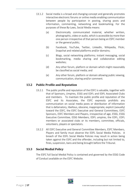- 13.1.2 Social media is a broad and changing concept and generally promotes interactive electronic forums or online media enabling communication between people by participation in posting, sharing posts and information, commenting, networking and bookmarking. For the purposes of these By-Laws, Social Media means:
	- (a) Electronically communicated material, whether written, photographic, video or audio, which is accessible by more than one person irrespective of that person being an ESFC member or the general public;
	- (b) Facebook, YouTube, Twitter, LinkedIn, Wikipedia, Flickr, Snapchat and related platforms and/or domains;
	- (c) Blogs, social networking platforms; instant messaging, social bookmarking, media sharing and collaborative editing websites;
	- (d) Any other forum, platform or domain which might reasonably be classified as social media; and
	- (e) Any other forum, platform or domain allowing public viewing, communication, sharing and/or comment.

# <span id="page-17-0"></span>**13.2 Public Profile and Reputation**

- 13.2.1 The public profile and reputation of the ESFC is valuable, together with that of Sponsors, Umpires, ESSG and EDFL and EDFL Associated Clubs and members. To maintain the public profile and reputation of the ESFC and its Associates, the ESFC expressly prohibits any communication on social media posts or distribution of information that is defamatory, libellous, obscene, inappropriate, explicit (sexually) toward the ESFC, the ESFC Executive and General Committees, ESFC Sponsors, ESFC Members and Players, irrespective of age, ESSG, ESSG Executive Committee, ESSG Members, EDFL umpires, the EDFL, EDFL members or associated clubs or its members, committee, officials, volunteers, players or spectators.
- 13.2.2 All ESFC Executive and General Committee Members, ESFC Members, Players and family must observe the EDFL Social Media Policies. A breach of the EDFL Social Media Policies may result in action being taken against the ESFC and the offender, including but not limited to, fines, suspension, bans and being brought before the Tribunal.

# <span id="page-17-1"></span>**13.3 Social Medial Policy**

The ESFC full Social Medial Policy is contained and governed by the ESSG Code of Conduct available on the ESFC Website.

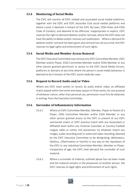# <span id="page-18-0"></span>**13.4 Monitoring of Social Media**

The ESFC will monitor all ESFC related and associated social medial platforms, together with the EDFL and EDFL Associate Club social medial platforms and where a post is deemed in breach of the ESFC By-Laws, ESSG Rules and ESSG Code of Conduct, and deemed to be offensive, inappropriate or explicit, ESFC reserves the right to demand deletion and/or removal, where the ESFC does not have the ability to delete and/or remove such publication. Where a demand for deletion and/or removal has been given and removal has not occurred, the ESFC reserves its legal rights and enforcement of such rights.

# <span id="page-18-1"></span>**13.4 Social Media and Member Access Removal**

The ESFC Executive Committee may remove any ESFC Committee Member, ESFC Member and/or Player, ESSG Committee Member and/or ESSG Member or any other person granted permission or access to the ESFC Social Media forums, platforms or domains at any time where the person's social media behaviour is deemed to be in breach of the ESFC social media By-Laws.

### <span id="page-18-2"></span>**13.6 Request to Record Audio and/or Video**

Where any ESFC team wishes to record, by audio and/or video, an affiliated match played within the home and away season or finals series, for any purpose of whatever nature, other than personal use, permission must first be obtained, in writing, from the Executive Committee.

### <span id="page-18-3"></span>**13.6 Surrender of Inflammatory Information**

- 13.6.1 Where an ESFC Committee Member, Member, Player or Parent of a Player, ESSG Committee Member and/or ESSG Member or any other person granted access to the ESFC or present at any EDFL sanctioned match or ESFC practice match with any Associated or Affiliated team within any Victorian Suburban or Country Football League, takes or comes into possession, by whatever means any images, audio recording and/ or audio and video recording, deemed by the ESFC Executive Committee to be denigrating, defamatory, libellous, inflammatory or harmful in any way to the reputation of the ESFC or any individual Committee Member, Member or Player, irrespective of age, the ESFC shall demand the surrender of such material.
- 13.6.2 Where a surrender of material, outlined above has not been made and the material remains in the possession of another person, the ESFC reserves its legal rights and enforcement of such rights.

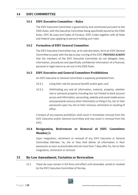#### <span id="page-19-0"></span>**14 ESFC COMMMITTEE**

#### <span id="page-19-1"></span>**14.1 ESFC Executive Committee – Rules**

The ESFC Executive Committee is governed by and constituted pursuant to the ESSG Rules, with the Executive Committee being specifically bound by the ESSG Rules, ESFC By-Laws and Codes of Conduct, EDFL Codes together with all State and Federal Laws applying to persons holding such roles.

### <span id="page-19-2"></span>**14.2 Formation of ESFC General Committee**

The ESFC Executive Committee may, at its sole discretion, form an ESFC General Committee to assist with the day to day running of the ESFC PROVIDED ALWAYS that the members of the ESFC Executive Committee do not delegate roles, information, procedures and specifically confidential information of a financial, personal or legal nature as set out in the ESSG Rules.

#### <span id="page-19-3"></span>**14.3 ESFC Executive and General Committee Prohibitions**

An ESFC Executive or General Committee is expressly prohibited from:

- 14.3.1 Using their role for personal benefit and/or gain; and
- 14.3.2 Withholding any and all information, material, property, whether real or personal property including but not limited to bank account access and information, accounting, website and social media access and passwords and any other information or thing in his, her or their possession upon his, her or their removal, retirement or vacating of office.

A breach of any express prohibition shall result in immediate removal from the ESFC Executive and/or General Committee and may result in removal from the ESFC.

# <span id="page-19-4"></span>**14.4 Resignation, Retirement or Removal of ESFC Committee Member/s**

Upon resignation, retirement or removal of any ESFC Executive or General Committee Member, he, she or they shall deliver all information in their possession as soon as practicable and not more than 7 days after his, her or their resignation, retirement or removal.

### <span id="page-19-5"></span>**15 By-Law Amendment, Variation or Revocation**

15.1 These By-Laws remain in full force and effect until amended, varied or revoked by the ESFC Executive Committee of the day.